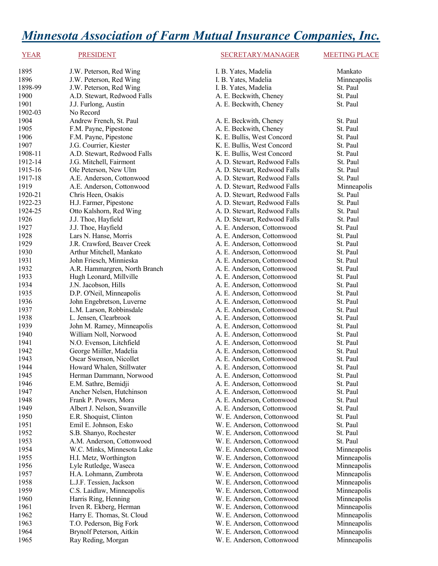# *Minnesota Association of Farm Mutual Insurance Companies, Inc.*

## YEAR PRESIDENT PRESIDENT SECRETARY/MANAGER MEETING PLACE

| 1895    | J.W. Peterson, Red Wing       | I. B. Yates, Madelia         | Mankato     |
|---------|-------------------------------|------------------------------|-------------|
| 1896    | J.W. Peterson, Red Wing       | I. B. Yates, Madelia         | Minneapolis |
| 1898-99 | J.W. Peterson, Red Wing       | I. B. Yates, Madelia         | St. Paul    |
| 1900    | A.D. Stewart, Redwood Falls   | A. E. Beckwith, Cheney       | St. Paul    |
| 1901    | J.J. Furlong, Austin          | A. E. Beckwith, Cheney       | St. Paul    |
| 1902-03 | No Record                     |                              |             |
| 1904    | Andrew French, St. Paul       | A. E. Beckwith, Cheney       | St. Paul    |
| 1905    | F.M. Payne, Pipestone         | A. E. Beckwith, Cheney       | St. Paul    |
| 1906    | F.M. Payne, Pipestone         | K. E. Bullis, West Concord   | St. Paul    |
| 1907    | J.G. Courrier, Kiester        | K. E. Bullis, West Concord   | St. Paul    |
| 1908-11 | A.D. Stewart, Redwood Falls   | K. E. Bullis, West Concord   | St. Paul    |
| 1912-14 | J.G. Mitchell, Fairmont       | A. D. Stewart, Redwood Falls | St. Paul    |
| 1915-16 | Ole Peterson, New Ulm         | A. D. Stewart, Redwood Falls | St. Paul    |
| 1917-18 | A.E. Anderson, Cottonwood     | A. D. Stewart, Redwood Falls | St. Paul    |
| 1919    | A.E. Anderson, Cottonwood     | A. D. Stewart, Redwood Falls | Minneapolis |
| 1920-21 | Chris Heen, Osakis            | A. D. Stewart, Redwood Falls | St. Paul    |
| 1922-23 | H.J. Farmer, Pipestone        | A. D. Stewart, Redwood Falls | St. Paul    |
| 1924-25 | Otto Kalshorn, Red Wing       | A. D. Stewart, Redwood Falls | St. Paul    |
| 1926    | J.J. Thoe, Hayfield           | A. D. Stewart, Redwood Falls | St. Paul    |
| 1927    | J.J. Thoe, Hayfield           | A. E. Anderson, Cottonwood   | St. Paul    |
| 1928    | Lars N. Hanse, Morris         | A. E. Anderson, Cottonwood   | St. Paul    |
| 1929    | J.R. Crawford, Beaver Creek   | A. E. Anderson, Cottonwood   | St. Paul    |
| 1930    | Arthur Mitchell, Mankato      | A. E. Anderson, Cottonwood   | St. Paul    |
| 1931    | John Friesch, Minnieska       | A. E. Anderson, Cottonwood   | St. Paul    |
| 1932    | A.R. Hammargren, North Branch | A. E. Anderson, Cottonwood   | St. Paul    |
| 1933    | Hugh Leonard, Millville       | A. E. Anderson, Cottonwood   | St. Paul    |
| 1934    | J.N. Jacobson, Hills          | A. E. Anderson, Cottonwood   | St. Paul    |
| 1935    | D.P. O'Neil, Minneapolis      | A. E. Anderson, Cottonwood   | St. Paul    |
| 1936    | John Engebretson, Luverne     | A. E. Anderson, Cottonwood   | St. Paul    |
| 1937    | L.M. Larson, Robbinsdale      | A. E. Anderson, Cottonwood   | St. Paul    |
| 1938    | L. Jensen, Clearbrook         | A. E. Anderson, Cottonwood   | St. Paul    |
| 1939    | John M. Ramey, Minneapolis    | A. E. Anderson, Cottonwood   | St. Paul    |
| 1940    | William Noll, Norwood         | A. E. Anderson, Cottonwood   | St. Paul    |
| 1941    | N.O. Evenson, Litchfield      | A. E. Anderson, Cottonwood   | St. Paul    |
| 1942    | George Miiller, Madelia       | A. E. Anderson, Cottonwood   | St. Paul    |
| 1943    | Oscar Swenson, Nicollet       | A. E. Anderson, Cottonwood   | St. Paul    |
| 1944    | Howard Whalen, Stillwater     | A. E. Anderson, Cottonwood   | St. Paul    |
| 1945    | Herman Dammann, Norwood       | A. E. Anderson, Cottonwood   | St. Paul    |
| 1946    | E.M. Sathre, Bemidji          | A. E. Anderson, Cottonwood   | St. Paul    |
| 1947    | Ancher Nelsen, Hutchinson     | A. E. Anderson, Cottonwood   | St. Paul    |
| 1948    | Frank P. Powers, Mora         | A. E. Anderson, Cottonwood   | St. Paul    |
| 1949    | Albert J. Nelson, Swanville   | A. E. Anderson, Cottonwood   | St. Paul    |
| 1950    | E.R. Shoquist, Clinton        | W. E. Anderson, Cottonwood   | St. Paul    |
| 1951    | Emil E. Johnson, Esko         | W. E. Anderson, Cottonwood   | St. Paul    |
| 1952    | S.B. Shanyo, Rochester        | W. E. Anderson, Cottonwood   | St. Paul    |
| 1953    | A.M. Anderson, Cottonwood     | W. E. Anderson, Cottonwood   | St. Paul    |
| 1954    | W.C. Minks, Minnesota Lake    | W. E. Anderson, Cottonwood   | Minneapolis |
| 1955    | H.I. Metz, Worthington        | W. E. Anderson, Cottonwood   | Minneapolis |
| 1956    | Lyle Rutledge, Waseca         | W. E. Anderson, Cottonwood   | Minneapolis |
| 1957    | H.A. Lohmann, Zumbrota        | W. E. Anderson, Cottonwood   | Minneapolis |
| 1958    | L.J.F. Tessien, Jackson       | W. E. Anderson, Cottonwood   | Minneapolis |
| 1959    | C.S. Laidlaw, Minneapolis     | W. E. Anderson, Cottonwood   | Minneapolis |
| 1960    | Harris Ring, Henning          | W. E. Anderson, Cottonwood   | Minneapolis |
| 1961    | Irven R. Ekberg, Herman       | W. E. Anderson, Cottonwood   | Minneapolis |
| 1962    | Harry E. Thomas, St. Cloud    | W. E. Anderson, Cottonwood   | Minneapolis |
| 1963    | T.O. Pederson, Big Fork       | W. E. Anderson, Cottonwood   | Minneapolis |
| 1964    | Brynolf Peterson, Aitkin      | W. E. Anderson, Cottonwood   | Minneapolis |
| 1965    | Ray Reding, Morgan            | W. E. Anderson, Cottonwood   | Minneapolis |

| ates, Madelia               |
|-----------------------------|
| ates, Madelia               |
| ates, Madelia               |
| Beckwith, Cheney            |
| Beckwith, Cheney            |
|                             |
| Beckwith, Cheney            |
| Beckwith, Cheney            |
| Bullis, West Concord        |
| Bullis, West Concord        |
| <b>Bullis, West Concord</b> |
| Stewart, Redwood Falls      |
| Stewart, Redwood Falls      |
| Stewart, Redwood Falls      |
| Stewart, Redwood Falls      |
|                             |
| Stewart, Redwood Falls      |
| Stewart, Redwood Falls      |
| Stewart, Redwood Falls      |
| Stewart, Redwood Falls      |
| Anderson, Cottonwood        |
| Anderson, Cottonwood        |
| Anderson, Cottonwood        |
| Anderson, Cottonwood        |
| Anderson, Cottonwood        |
| Anderson, Cottonwood        |
| Anderson, Cottonwood        |
| Anderson, Cottonwood        |
| Anderson, Cottonwood        |
| Anderson, Cottonwood        |
| Anderson, Cottonwood        |
| Anderson, Cottonwood        |
| Anderson, Cottonwood        |
| Anderson, Cottonwood        |
| Anderson, Cottonwood        |
| Anderson, Cottonwood        |
| Anderson, Cottonwood        |
| Anderson, Cottonwood        |
| Anderson, Cottonwood        |
| Anderson, Cottonwood        |
| Anderson, Cottonwood        |
| Anderson, Cottonwood        |
| Anderson, Cottonwood        |
| Anderson, Cottonwood        |
| Anderson, Cottonwood        |
| Anderson, Cottonwood        |
| Anderson, Cottonwood        |
| Anderson, Cottonwood        |
| Anderson, Cottonwood        |
| Anderson, Cottonwood        |
| Anderson, Cottonwood        |
|                             |
| Anderson, Cottonwood        |
| Anderson, Cottonwood        |
| Anderson, Cottonwood        |
| Anderson, Cottonwood        |
| Anderson, Cottonwood        |
| Anderson, Cottonwood        |
| Anderson, Cottonwood        |
| Anderson Cottonwood         |